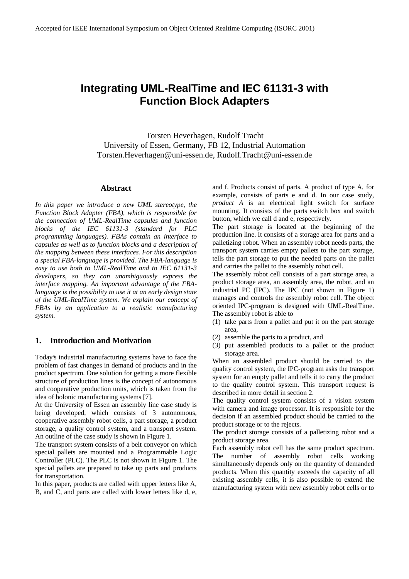# **Integrating UML-RealTime and IEC 61131-3 with Function Block Adapters**

Torsten Heverhagen, Rudolf Tracht University of Essen, Germany, FB 12, Industrial Automation Torsten.Heverhagen@uni-essen.de, Rudolf.Tracht@uni-essen.de

#### **Abstract**

*In this paper we introduce a new UML stereotype, the Function Block Adapter (FBA), which is responsible for the connection of UML-RealTime capsules and function blocks of the IEC 61131-3 (standard for PLC programming languages). FBAs contain an interface to capsules as well as to function blocks and a description of the mapping between these interfaces. For this description a special FBA-language is provided. The FBA-language is easy to use both to UML-RealTime and to IEC 61131-3 developers, so they can unambiguously express the interface mapping. An important advantage of the FBAlanguage is the possibility to use it at an early design state of the UML-RealTime system. We explain our concept of FBAs by an application to a realistic manufacturing system.*

#### **1. Introduction and Motivation**

Today's industrial manufacturing systems have to face the problem of fast changes in demand of products and in the product spectrum. One solution for getting a more flexible structure of production lines is the concept of autonomous and cooperative production units, which is taken from the idea of holonic manufacturing systems [7].

At the University of Essen an assembly line case study is being developed, which consists of 3 autonomous, cooperative assembly robot cells, a part storage, a product storage, a quality control system, and a transport system. An outline of the case study is shown in Figure 1.

The transport system consists of a belt conveyor on which special pallets are mounted and a Programmable Logic Controller (PLC). The PLC is not shown in Figure 1. The special pallets are prepared to take up parts and products for transportation.

In this paper, products are called with upper letters like A, B, and C, and parts are called with lower letters like d, e, and f. Products consist of parts. A product of type A, for example, consists of parts e and d. In our case study, *product A* is an electrical light switch for surface mounting. It consists of the parts switch box and switch button, which we call d and e, respectively.

The part storage is located at the beginning of the production line. It consists of a storage area for parts and a palletizing robot. When an assembly robot needs parts, the transport system carries empty pallets to the part storage, tells the part storage to put the needed parts on the pallet and carries the pallet to the assembly robot cell.

The assembly robot cell consists of a part storage area, a product storage area, an assembly area, the robot, and an industrial PC (IPC). The IPC (not shown in Figure 1) manages and controls the assembly robot cell. The object oriented IPC-program is designed with UML-RealTime. The assembly robot is able to

- (1) take parts from a pallet and put it on the part storage area,
- (2) assemble the parts to a product, and
- (3) put assembled products to a pallet or the product storage area.

When an assembled product should be carried to the quality control system, the IPC-program asks the transport system for an empty pallet and tells it to carry the product to the quality control system. This transport request is described in more detail in section 2.

The quality control system consists of a vision system with camera and image processor. It is responsible for the decision if an assembled product should be carried to the product storage or to the rejects.

The product storage consists of a palletizing robot and a product storage area.

Each assembly robot cell has the same product spectrum. The number of assembly robot cells working simultaneously depends only on the quantity of demanded products. When this quantity exceeds the capacity of all existing assembly cells, it is also possible to extend the manufacturing system with new assembly robot cells or to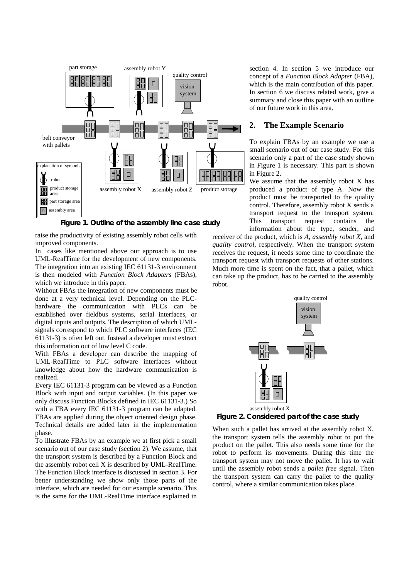

**Figure 1. Outline of the assembly line case study**

raise the productivity of existing assembly robot cells with improved components.

In cases like mentioned above our approach is to use UML-RealTime for the development of new components. The integration into an existing IEC 61131-3 environment is then modeled with *Function Block Adapters* (FBAs), which we introduce in this paper.

Without FBAs the integration of new components must be done at a very technical level. Depending on the PLChardware the communication with PLCs can be established over fieldbus systems, serial interfaces, or digital inputs and outputs. The description of which UMLsignals correspond to which PLC software interfaces (IEC 61131-3) is often left out. Instead a developer must extract this information out of low level C code.

With FBAs a developer can describe the mapping of UML-RealTime to PLC software interfaces without knowledge about how the hardware communication is realized.

Every IEC 61131-3 program can be viewed as a Function Block with input and output variables. (In this paper we only discuss Function Blocks defined in IEC 61131-3.) So with a FBA every IEC 61131-3 program can be adapted. FBAs are applied during the object oriented design phase. Technical details are added later in the implementation phase.

To illustrate FBAs by an example we at first pick a small scenario out of our case study (section 2). We assume, that the transport system is described by a Function Block and the assembly robot cell X is described by UML-RealTime. The Function Block interface is discussed in section 3. For better understanding we show only those parts of the interface, which are needed for our example scenario. This is the same for the UML-RealTime interface explained in section 4. In section 5 we introduce our concept of a *Function Block Adapter* (FBA), which is the main contribution of this paper. In section 6 we discuss related work, give a summary and close this paper with an outline of our future work in this area.

## **2. The Example Scenario**

To explain FBAs by an example we use a small scenario out of our case study. For this scenario only a part of the case study shown in Figure 1 is necessary. This part is shown in Figure 2.

We assume that the assembly robot X has produced a product of type A. Now the product must be transported to the quality control. Therefore, assembly robot X sends a transport request to the transport system. This transport request contains the information about the type, sender, and

receiver of the product, which is *A*, *assembly robot X*, and *quality control*, respectively. When the transport system receives the request, it needs some time to coordinate the transport request with transport requests of other stations. Much more time is spent on the fact, that a pallet, which can take up the product, has to be carried to the assembly robot.



**Figure 2. Considered part of the case study**

When such a pallet has arrived at the assembly robot X, the transport system tells the assembly robot to put the product on the pallet. This also needs some time for the robot to perform its movements. During this time the transport system may not move the pallet. It has to wait until the assembly robot sends a *pallet free* signal. Then the transport system can carry the pallet to the quality control, where a similar communication takes place.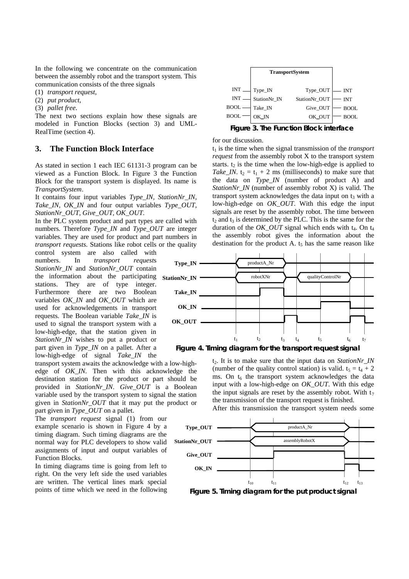In the following we concentrate on the communication between the assembly robot and the transport system. This communication consists of the three signals

- (1) *transport request*,
- (2) *put product*,
- (3) *pallet free*.

The next two sections explain how these signals are modeled in Function Blocks (section 3) and UML-RealTime (section 4).

### **3. The Function Block Interface**

As stated in section 1 each IEC 61131-3 program can be viewed as a Function Block. In Figure 3 the Function Block for the transport system is displayed. Its name is *TransportSystem*.

It contains four input variables *Type\_IN, StationNr\_IN, Take\_IN, OK\_IN* and four output variables *Type\_OUT, StationNr\_OUT, Give\_OUT, OK\_OUT*.

In the PLC system product and part types are called with numbers. Therefore *Type\_IN* and *Type\_OUT* are integer variables. They are used for product and part numbers in *transport requests*. Stations like robot cells or the quality

control system are also called with numbers. In *transport request*s *StationNr\_IN* and *StationNr\_OUT* contain the information about the participating stations. They are of type integer. Furthermore there are two Boolean variables *OK\_IN* and *OK\_OUT* which are used for acknowledgements in transport requests. The Boolean variable *Take\_IN* is used to signal the transport system with a low-high-edge, that the station given in *StationNr\_IN* wishes to put a product or part given in *Type\_IN* on a pallet. After a low-high-edge of signal *Take\_IN* the

transport system awaits the acknowledge with a low-highedge of *OK\_IN*. Then with this acknowledge the destination station for the product or part should be provided in *StationNr\_IN*. *Give\_OUT* is a Boolean variable used by the transport system to signal the station given in *StationNr\_OUT* that it may put the product or part given in *Type* OUT on a pallet.

The *transport request* signal (1) from our example scenario is shown in Figure 4 by a timing diagram. Such timing diagrams are the normal way for PLC developers to show valid assignments of input and output variables of Function Blocks.

In timing diagrams time is going from left to right. On the very left side the used variables are written. The vertical lines mark special points of time which we need in the following



**Figure 3. The Function Block interface**

for our discussion.

t1 is the time when the signal transmission of the *transport request* from the assembly robot X to the transport system starts.  $t_2$  is the time when the low-high-edge is applied to *Take\_IN*.  $t_2 = t_1 + 2$  ms (milliseconds) to make sure that the data on *Type\_IN* (number of product A) and *StationNr\_IN* (number of assembly robot X) is valid. The transport system acknowledges the data input on  $t_3$  with a low-high-edge on *OK\_OUT*. With this edge the input signals are reset by the assembly robot. The time between  $t_2$  and  $t_3$  is determined by the PLC. This is the same for the duration of the *OK OUT* signal which ends with  $t_4$ . On  $t_4$ the assembly robot gives the information about the destination for the product A.  $t_5$  has the same reason like



t2. It is to make sure that the input data on *StationNr\_IN* (number of the quality control station) is valid.  $t_5 = t_4 + 2$ ms. On  $t_6$  the transport system acknowledges the data input with a low-high-edge on *OK\_OUT*. With this edge the input signals are reset by the assembly robot. With  $t_7$ the transmission of the transport request is finished. After this transmission the transport system needs some



**Figure 5. Timing diagram for the put product signal**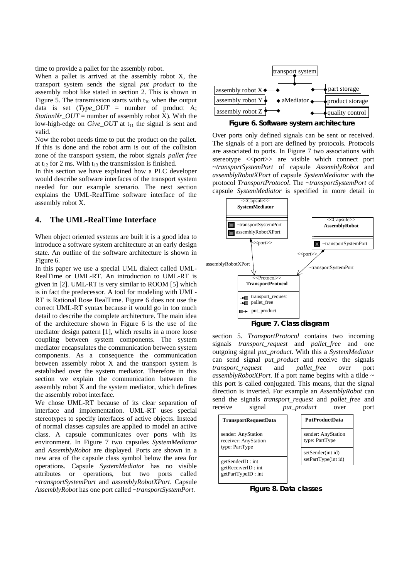time to provide a pallet for the assembly robot.

When a pallet is arrived at the assembly robot X, the transport system sends the signal *put product* to the assembly robot like stated in section 2. This is shown in Figure 5. The transmission starts with  $t_{10}$  when the output data is set (*Type\_OUT* = number of product A; *StationNr*  $OUT =$  *number of assembly robot X).* With the low-high-edge on *Give OUT* at  $t_{11}$  the signal is sent and valid.

Now the robot needs time to put the product on the pallet. If this is done and the robot arm is out of the collision zone of the transport system, the robot signals *pallet free* at  $t_{12}$  for 2 ms. With  $t_{13}$  the transmission is finished.

In this section we have explained how a PLC developer would describe software interfaces of the transport system needed for our example scenario. The next section explains the UML-RealTime software interface of the assembly robot X.

#### **4. The UML-RealTime Interface**

When object oriented systems are built it is a good idea to introduce a software system architecture at an early design state. An outline of the software architecture is shown in Figure 6.

In this paper we use a special UML dialect called UML-RealTime or UML-RT. An introduction to UML-RT is given in [2]. UML-RT is very similar to ROOM [5] which is in fact the predecessor. A tool for modeling with UML-RT is Rational Rose RealTime. Figure 6 does not use the correct UML-RT syntax because it would go in too much detail to describe the complete architecture. The main idea of the architecture shown in Figure 6 is the use of the mediator design pattern [1], which results in a more loose coupling between system components. The system mediator encapsulates the communication between system components. As a consequence the communication between assembly robot X and the transport system is established over the system mediator. Therefore in this section we explain the communication between the assembly robot X and the system mediator, which defines the assembly robot interface.

We chose UML-RT because of its clear separation of interface and implementation. UML-RT uses special stereotypes to specify interfaces of active objects. Instead of normal classes capsules are applied to model an active class. A capsule communicates over ports with its environment. In Figure 7 two capsules *SystemMediator* and *AssemblyRobot* are displayed. Ports are shown in a new area of the capsule class symbol below the area for operations. Capsule *SystemMediator* has no visible attributes or operations, but two ports called *~transportSystemPort* and *assemblyRobotXPort*. Capsule *AssemblyRobot* has one port called ~*transportSystemPort*.



**Figure 6. Software system architecture**

Over ports only defined signals can be sent or received. The signals of a port are defined by protocols. Protocols are associated to ports. In Figure 7 two associations with stereotype <<port>> are visible which connect port ~*transportSystemPort* of capsule *AssemblyRobot* and *assemblyRobotXPort* of capsule *SystemMediator* with the protocol *TransportProtocol*. The ~*transportSystemPort* of capsule *SystemMediator* is specified in more detail in



section 5. *TransportProtocol* contains two incoming signals *transport\_request* and *pallet\_free* and one outgoing signal *put\_product*. With this a *SystemMediator* can send signal *put\_product* and receive the signals *transport\_request* and *pallet\_free* over port *assemblyRobotXPort*. If a port name begins with a tilde  $\sim$ this port is called conjugated. This means, that the signal direction is inverted. For example an *AssemblyRobot* can send the signals *transport\_request* and *pallet\_free* and receive signal *put\_product* over port

| <b>TransportRequestData</b>                                     | <b>PutProductData</b>                    |
|-----------------------------------------------------------------|------------------------------------------|
| sender: AnyStation<br>receiver: AnyStation<br>type: PartType    | sender: AnyStation<br>type: PartType     |
| getSenderID : int<br>getReceiverID : int<br>getPartTypeID : int | setSender(int id)<br>setPartType(int id) |

**Figure 8. Data classes**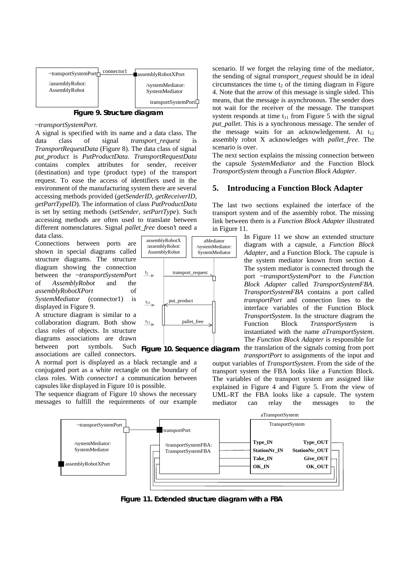

**Figure 9. Structure diagram**

~*transportSystemPort*.

A signal is specified with its name and a data class. The data class of signal *transport request* is *TransportRequestData* (Figure 8). The data class of signal *put\_product* is *PutProductData*. *TransportRequestData* contains complex attributes for sender, receiver (destination) and type (product type) of the transport request. To ease the access of identifiers used in the environment of the manufacturing system there are several accessing methods provided (*getSenderID, getReceiverID, getPartTypeID*). The information of class *PutProductData* is set by setting methods (*setSender, setPartType*). Such accessing methods are often used to translate between different nomenclatures. Signal *pallet\_free* doesn't need a data class.

Connections between ports are shown in special diagrams called structure diagrams. The structure diagram showing the connection between the ~*transportSystemPort* of *AssemblyRobot* and the *assemblyRobotXPort* of *SystemMediator* (connector1) is displayed in Figure 9.

A structure diagram is similar to a collaboration diagram. Both show class roles of objects. In structure diagrams associations are drawn between port symbols. Such associations are called connectors.

A normal port is displayed as a black rectangle and a conjugated port as a white rectangle on the boundary of class roles. With *connector1* a communication between capsules like displayed in Figure 10 is possible.

The sequence diagram of Figure 10 shows the necessary messages to fulfill the requirements of our example



**Figure 10. Sequence diagram**

scenario. If we forget the relaying time of the mediator, the sending of signal *transport\_request* should be in ideal circumstances the time  $t<sub>2</sub>$  of the timing diagram in Figure 4. Note that the arrow of this message is single sided. This means, that the message is asynchronous. The sender does not wait for the receiver of the message. The transport system responds at time  $t_{11}$  from Figure 5 with the signal *put\_pallet*. This is a synchronous message. The sender of the message waits for an acknowledgement. At  $t_{12}$ assembly robot X acknowledges with *pallet\_free*. The scenario is over.

The next section explains the missing connection between the capsule *SystemMediator* and the Function Block *TransportSystem* through a *Function Block Adapter*.

# **5. Introducing a Function Block Adapter**

The last two sections explained the interface of the transport system and of the assembly robot. The missing link between them is a *Function Block Adapter* illustrated in Figure 11.

> In Figure 11 we show an extended structure diagram with a capsule, a *Function Block Adapter*, and a Function Block. The capsule is the system mediator known from section 4. The system mediator is connected through the port ~*transportSystemPort* to the *Function Block Adapter* called *TransportSystemFBA*. *TransportSystemFBA* contains a port called *transportPort* and connection lines to the interface variables of the Function Block *TransportSystem*. In the structure diagram the Function Block *TransportSystem* is instantiated with the name *aTransportSystem*. The *Function Block Adapter* is responsible for the translation of the signals coming from port

*transportPort* to assignments of the input and output variables of *TransportSystem*. From the side of the transport system the FBA looks like a Function Block. The variables of the transport system are assigned like explained in Figure 4 and Figure 5. From the view of UML-RT the FBA looks like a capsule. The system mediator can relay the messages to the



**Figure 11. Extended structure diagram with a FBA**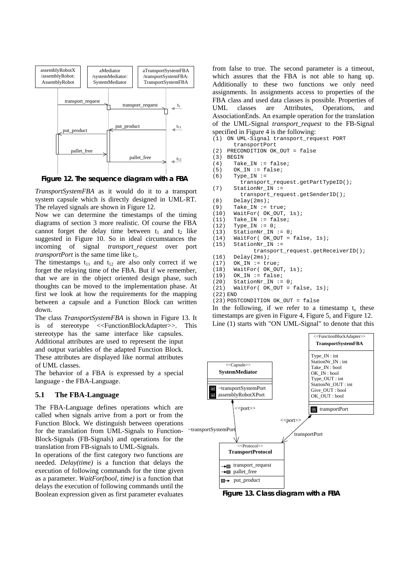

**Figure 12. The sequence diagram with a FBA**

*TransportSystemFBA* as it would do it to a transport system capsule which is directly designed in UML-RT. The relayed signals are shown in Figure 12.

Now we can determine the timestamps of the timing diagrams of section 3 more realistic. Of course the FBA cannot forget the delay time between  $t_1$  and  $t_2$  like suggested in Figure 10. So in ideal circumstances the incoming of signal *transport\_request* over port *transportPort* is the same time like  $t_1$ .

The timestamps  $t_{11}$  and  $t_{12}$  are also only correct if we forget the relaying time of the FBA. But if we remember, that we are in the object oriented design phase, such thoughts can be moved to the implementation phase. At first we look at how the requirements for the mapping between a capsule and a Function Block can written down.

The class *TransportSystemFBA* is shown in Figure 13. It is of stereotype <<FunctionBlockAdapter>>. This stereotype has the same interface like capsules.

Additional attributes are used to represent the input and output variables of the adapted Function Block. These attributes are displayed like normal attributes of UML classes.

The behavior of a FBA is expressed by a special language - the FBA-Language.

#### **5.1 The FBA-Language**

The FBA-Language defines operations which are called when signals arrive from a port or from the Function Block. We distinguish between operations for the translation from UML-Signals to Function-Block-Signals (FB-Signals) and operations for the translation from FB-signals to UML-Signals.

In operations of the first category two functions are needed. *Delay(time)* is a function that delays the execution of following commands for the time given as a parameter. *WaitFor(bool, time)* is a function that delays the execution of following commands until the Boolean expression given as first parameter evaluates

from false to true. The second parameter is a timeout, which assures that the FBA is not able to hang up. Additionally to these two functions we only need assignments. In assignments access to properties of the FBA class and used data classes is possible. Properties of UML classes are Attributes, Operations, and AssociationEnds. An example operation for the translation of the UML-Signal *transport\_request* to the FB-Signal specified in Figure 4 is the following:

(1) ON UML-Signal transport\_request PORT

- transportPort (2) PRECONDITION OK\_OUT = false
- $(3)$  BEGIN
- $(4)$  Take\_IN := false;
- $(5)$  OK\_IN := false;
- (6)  $Type\_IN :=$
- transport\_request.getPartTypeID(); (7) StationNr\_IN :=
- transport\_request.getSenderID();
- (8) Delay(2ms);<br>(9) Take IN :=
- Take IN :=  $true$ ;
- (10) WaitFor( OK\_OUT, 1s);
- (11) Take\_IN := false;<br>(12) Type IN := 0;
- (12)  $Type IN := 0;$ <br>(13) StationNr IN StationNr IN := 0;
- (14) WaitFor(  $OK\_OUT = false, 1s$ );<br>(15) StationNr\_IN :=
- StationNr\_IN :=
- transport\_request.getReceiverID();
- (16) Delay(2ms);
- $(17)$  OK IN := true;
- (18) WaitFor(  $OK_OUT, 1s$ );<br>(19) OK IN := false;
- (19)  $OK_IN := false;$ <br>(20) StationNr IN :=  $StationNr_IN := 0;$
- (21) WaitFor( OK\_OUT = false, 1s);
- (22) END
- (23) POSTCONDITION OK\_OUT = false

In the following, if we refer to a timestamp  $t_x$  these timestamps are given in Figure 4, Figure 5, and Figure 12. Line (1) starts with "ON UML-Signal" to denote that this



**Figure 13. Class diagram with a FBA**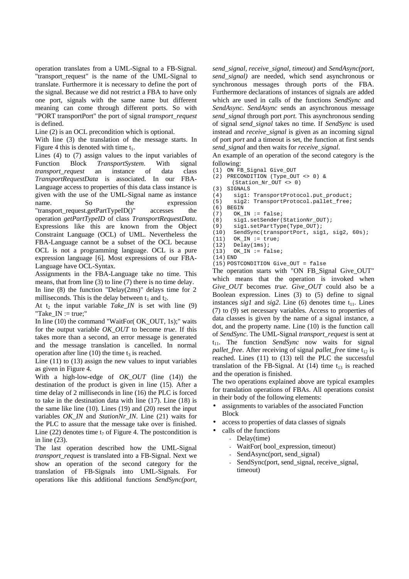operation translates from a UML-Signal to a FB-Signal. "transport request" is the name of the UML-Signal to translate. Furthermore it is necessary to define the port of the signal. Because we did not restrict a FBA to have only one port, signals with the same name but different meaning can come through different ports. So with "PORT transportPort" the port of signal *transport\_request* is defined.

Line (2) is an OCL precondition which is optional.

With line (3) the translation of the message starts. In Figure 4 this is denoted with time  $t_1$ .

Lines (4) to (7) assign values to the input variables of Function Block *TransportSystem*. With signal *transport\_request* an instance of data class *TransportRequestData* is associated. In our FBA-Language access to properties of this data class instance is given with the use of the UML-Signal name as instance name. So the expression "transport\_request.getPartTypeID()" accesses the operation *getPartTypeID* of class *TransportRequestData*. Expressions like this are known from the Object Constraint Language (OCL) of UML. Nevertheless the FBA-Language cannot be a subset of the OCL because OCL is not a programming language. OCL is a pure expression language [6]. Most expressions of our FBA-Language have OCL-Syntax.

Assignments in the FBA-Language take no time. This means, that from line (3) to line (7) there is no time delay.

In line  $(8)$  the function "Delay $(2ms)$ " delays time for 2 milliseconds. This is the delay between  $t_1$  and  $t_2$ .

At  $t_2$  the input variable *Take\_IN* is set with line (9)  $"Take_N := true;"$ 

In line  $(10)$  the command "WaitFor $($  OK OUT, 1s);" waits for the output variable *OK\_OUT* to become *true*. If this takes more than a second, an error message is generated and the message translation is cancelled. In normal operation after line  $(10)$  the time  $t_3$  is reached.

Line (11) to (13) assign the new values to input variables as given in Figure 4.

With a high-low-edge of *OK\_OUT* (line (14)) the destination of the product is given in line (15). After a time delay of 2 milliseconds in line (16) the PLC is forced to take in the destination data with line (17). Line (18) is the same like line (10). Lines (19) and (20) reset the input variables *OK\_IN* and *StationNr\_IN*. Line (21) waits for the PLC to assure that the message take over is finished. Line (22) denotes time  $t_7$  of Figure 4. The postcondition is in line (23).

The last operation described how the UML-Signal *transport\_request* is translated into a FB-Signal. Next we show an operation of the second category for the translation of FB-Signals into UML-Signals. For operations like this additional functions *SendSync(port,*

*send\_signal, receive\_signal, timeout)* and *SendAsync(port, send\_signal)* are needed, which send asynchronous or synchronous messages through ports of the FBA. Furthermore declarations of instances of signals are added which are used in calls of the functions *SendSync* and *SendAsync*. *SendAsync* sends an asynchronous message *send\_signal* through port *port*. This asynchronous sending of signal *send\_signal* takes no time. If *SendSync* is used instead and *receive\_signal* is given as an incoming signal of port *port* and a timeout is set, the function at first sends *send\_signal* and then waits for *receive\_signal*.

An example of an operation of the second category is the following:

- (1) ON FB\_Signal Give\_OUT
- (2) PRECONDITION (Type\_OUT <> 0) &
- (Station\_Nr\_OUT <> 0)
	-
- $(3)$  SIGNALS<br> $(4)$  sigl: sig1: TransportProtocol.put product;
- (5) sig2: TransportProtocol.pallet\_free;
- 

 $(6)$  BEGIN<br> $(7)$  OK\_1  $OK_IN := false;$ 

- (8) sig1.setSender(StationNr\_OUT);
- (9) sig1.setPartType(Type\_OUT);
- (10) SendSync(transportPort, sig1, sig2, 60s);
- $(11)$  OK IN := true;
- $(12)$  Delay $(1ms)i$ <br> $(13)$  OK IN := fa
- $OK_IN := false;$ (14) END
- (15) POSTCONDITION Give\_OUT = false

The operation starts with "ON FB\_Signal Give\_OUT" which means that the operation is invoked when *Give\_OUT* becomes *true*. *Give\_OUT* could also be a Boolean expression. Lines (3) to (5) define to signal instances *sig1* and *sig2*. Line (6) denotes time  $t_{11}$ . Lines (7) to (9) set necessary variables. Access to properties of data classes is given by the name of a signal instance, a dot, and the property name. Line (10) is the function call of *SendSync*. The UML-Signal *transport\_request* is sent at t<sub>11</sub>. The function *SendSync* now waits for signal *pallet\_free.* After receiving of signal *pallet\_free* time t<sub>12</sub> is reached. Lines (11) to (13) tell the PLC the successful translation of the FB-Signal. At  $(14)$  time  $t_{13}$  is reached and the operation is finished.

The two operations explained above are typical examples for translation operations of FBAs. All operations consist in their body of the following elements:

- assignments to variables of the associated Function Block
- access to properties of data classes of signals
- calls of the functions
	- Delay(time)
		- WaitFor( bool\_expression, timeout)
		- SendAsync(port, send\_signal)
	- SendSync(port, send\_signal, receive\_signal, timeout)